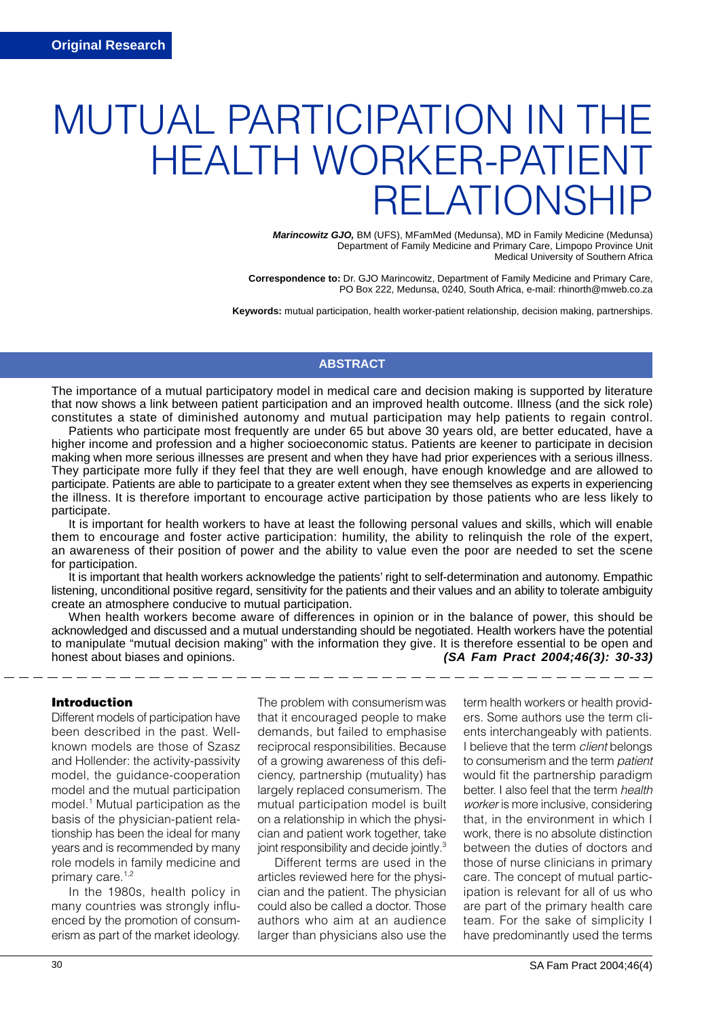# MUTUAL PARTICIPATION IN THE HEALTH WORKER-PATIENT RELATIONSH

**Marincowitz GJO,** BM (UFS), MFamMed (Medunsa), MD in Family Medicine (Medunsa) Department of Family Medicine and Primary Care, Limpopo Province Unit Medical University of Southern Africa

**Correspondence to:** Dr. GJO Marincowitz, Department of Family Medicine and Primary Care, PO Box 222, Medunsa, 0240, South Africa, e-mail: rhinorth@mweb.co.za

**Keywords:** mutual participation, health worker-patient relationship, decision making, partnerships.

## **ABSTRACT**

The importance of a mutual participatory model in medical care and decision making is supported by literature that now shows a link between patient participation and an improved health outcome. Illness (and the sick role) constitutes a state of diminished autonomy and mutual participation may help patients to regain control.

Patients who participate most frequently are under 65 but above 30 years old, are better educated, have a higher income and profession and a higher socioeconomic status. Patients are keener to participate in decision making when more serious illnesses are present and when they have had prior experiences with a serious illness. They participate more fully if they feel that they are well enough, have enough knowledge and are allowed to participate. Patients are able to participate to a greater extent when they see themselves as experts in experiencing the illness. It is therefore important to encourage active participation by those patients who are less likely to participate.

It is important for health workers to have at least the following personal values and skills, which will enable them to encourage and foster active participation: humility, the ability to relinquish the role of the expert, an awareness of their position of power and the ability to value even the poor are needed to set the scene for participation.

It is important that health workers acknowledge the patients' right to self-determination and autonomy. Empathic listening, unconditional positive regard, sensitivity for the patients and their values and an ability to tolerate ambiguity create an atmosphere conducive to mutual participation.

When health workers become aware of differences in opinion or in the balance of power, this should be acknowledged and discussed and a mutual understanding should be negotiated. Health workers have the potential to manipulate "mutual decision making" with the information they give. It is therefore essential to be open and honest about biases and opinions. **(SA Fam Pract 2004;46(3): 30-33)**

#### Introduction

Different models of participation have been described in the past. Wellknown models are those of Szasz and Hollender: the activity-passivity model, the guidance-cooperation model and the mutual participation model.<sup>1</sup> Mutual participation as the basis of the physician-patient relationship has been the ideal for many years and is recommended by many role models in family medicine and primary care.<sup>1,2</sup>

In the 1980s, health policy in many countries was strongly influenced by the promotion of consumerism as part of the market ideology.

The problem with consumerismwas that it encouraged people to make demands, but failed to emphasise reciprocal responsibilities. Because of a growing awareness of this deficiency, partnership (mutuality) has largely replaced consumerism. The mutual participation model is built on a relationship in which the physician and patient work together, take joint responsibility and decide jointly.<sup>3</sup>

Different terms are used in the articles reviewed here for the physician and the patient. The physician could also be called a doctor. Those authors who aim at an audience larger than physicians also use the

term health workers or health providers. Some authors use the term clients interchangeably with patients. I believe that the term *client* belongs to consumerism and the term *patient* would fit the partnership paradigm better. I also feel that the term *health worker* is more inclusive, considering that, in the environment in which I work, there is no absolute distinction between the duties of doctors and those of nurse clinicians in primary care. The concept of mutual participation is relevant for all of us who are part of the primary health care team. For the sake of simplicity I have predominantly used the terms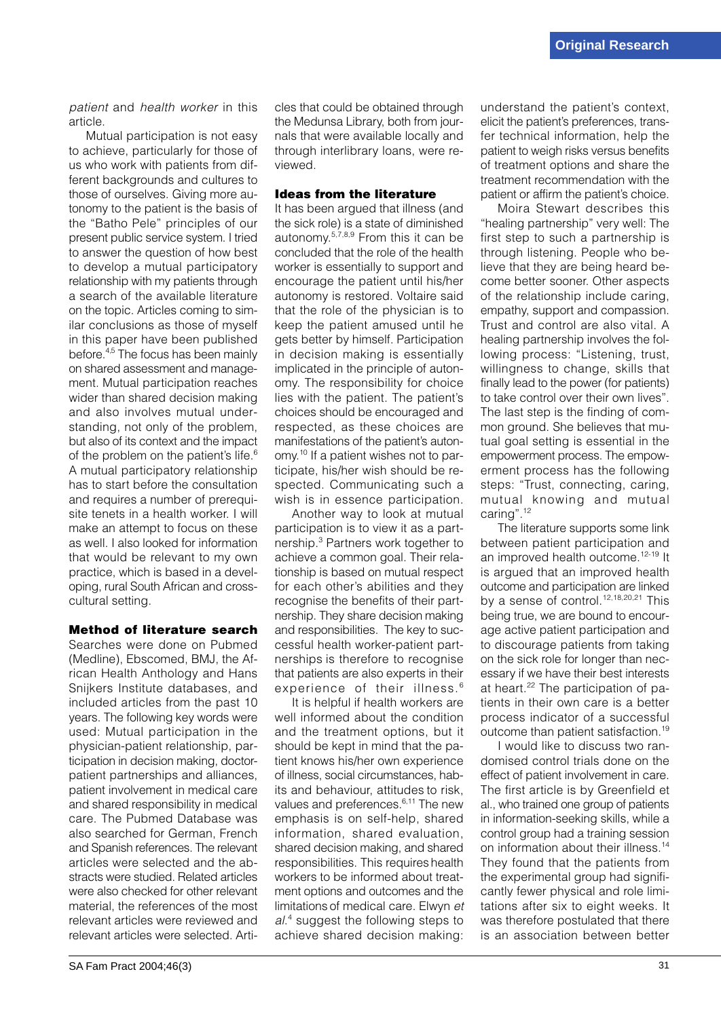*patient* and *health worker* in this article.

Mutual participation is not easy to achieve, particularly for those of us who work with patients from different backgrounds and cultures to those of ourselves. Giving more autonomy to the patient is the basis of the "Batho Pele" principles of our present public service system. I tried to answer the question of how best to develop a mutual participatory relationship with my patients through a search of the available literature on the topic. Articles coming to similar conclusions as those of myself in this paper have been published before.<sup>4,5</sup> The focus has been mainly on shared assessment and management. Mutual participation reaches wider than shared decision making and also involves mutual understanding, not only of the problem, but also of its context and the impact of the problem on the patient's life.<sup>6</sup> A mutual participatory relationship has to start before the consultation and requires a number of prerequisite tenets in a health worker. I will make an attempt to focus on these as well. I also looked for information that would be relevant to my own practice, which is based in a developing, rural South African and crosscultural setting.

## Method of literature search

Searches were done on Pubmed (Medline), Ebscomed, BMJ, the African Health Anthology and Hans Snijkers Institute databases, and included articles from the past 10 years. The following key words were used: Mutual participation in the physician-patient relationship, participation in decision making, doctorpatient partnerships and alliances, patient involvement in medical care and shared responsibility in medical care. The Pubmed Database was also searched for German, French and Spanish references. The relevant articles were selected and the abstracts were studied. Related articles were also checked for other relevant material, the references of the most relevant articles were reviewed and relevant articles were selected. Articles that could be obtained through the Medunsa Library, both from journals that were available locally and through interlibrary loans, were reviewed.

## Ideas from the literature

It has been argued that illness (and the sick role) is a state of diminished autonomy.5,7,8,9 From this it can be concluded that the role of the health worker is essentially to support and encourage the patient until his/her autonomy is restored. Voltaire said that the role of the physician is to keep the patient amused until he gets better by himself. Participation in decision making is essentially implicated in the principle of autonomy. The responsibility for choice lies with the patient. The patient's choices should be encouraged and respected, as these choices are manifestations of the patient's autonomy.<sup>10</sup> If a patient wishes not to participate, his/her wish should be respected. Communicating such a wish is in essence participation.

Another way to look at mutual participation is to view it as a partnership.<sup>3</sup> Partners work together to achieve a common goal. Their relationship is based on mutual respect for each other's abilities and they recognise the benefits of their partnership. They share decision making and responsibilities. The key to successful health worker-patient partnerships is therefore to recognise that patients are also experts in their experience of their illness.<sup>6</sup>

It is helpful if health workers are well informed about the condition and the treatment options, but it should be kept in mind that the patient knows his/her own experience of illness, social circumstances, habits and behaviour, attitudes to risk, values and preferences.<sup>6,11</sup> The new emphasis is on self-help, shared information, shared evaluation, shared decision making, and shared responsibilities. This requires health workers to be informed about treatment options and outcomes and the limitationsof medical care. Elwyn *et al*. 4 suggest the following steps to achieve shared decision making:

understand the patient's context, elicit the patient's preferences, transfer technical information, help the patient to weigh risks versus benefits of treatment options and share the treatment recommendation with the patient or affirm the patient's choice.

Moira Stewart describes this "healing partnership" very well: The first step to such a partnership is through listening. People who believe that they are being heard become better sooner. Other aspects of the relationship include caring, empathy, support and compassion. Trust and control are also vital. A healing partnership involves the following process: "Listening, trust, willingness to change, skills that finally lead to the power (for patients) to take control over their own lives". The last step is the finding of common ground. She believes that mutual goal setting is essential in the empowerment process. The empowerment process has the following steps: "Trust, connecting, caring, mutual knowing and mutual caring".<sup>12</sup>

The literature supports some link between patient participation and an improved health outcome.12-19 It is argued that an improved health outcome and participation are linked by a sense of control.<sup>12,18,20,21</sup> This being true, we are bound to encourage active patient participation and to discourage patients from taking on the sick role for longer than necessary if we have their best interests at heart.<sup>22</sup> The participation of patients in their own care is a better process indicator of a successful outcome than patient satisfaction.<sup>19</sup>

I would like to discuss two randomised control trials done on the effect of patient involvement in care. The first article is by Greenfield et al., who trained one group of patients in information-seeking skills, while a control group had a training session on information about their illness.<sup>14</sup> They found that the patients from the experimental group had significantly fewer physical and role limitations after six to eight weeks. It was therefore postulated that there is an association between better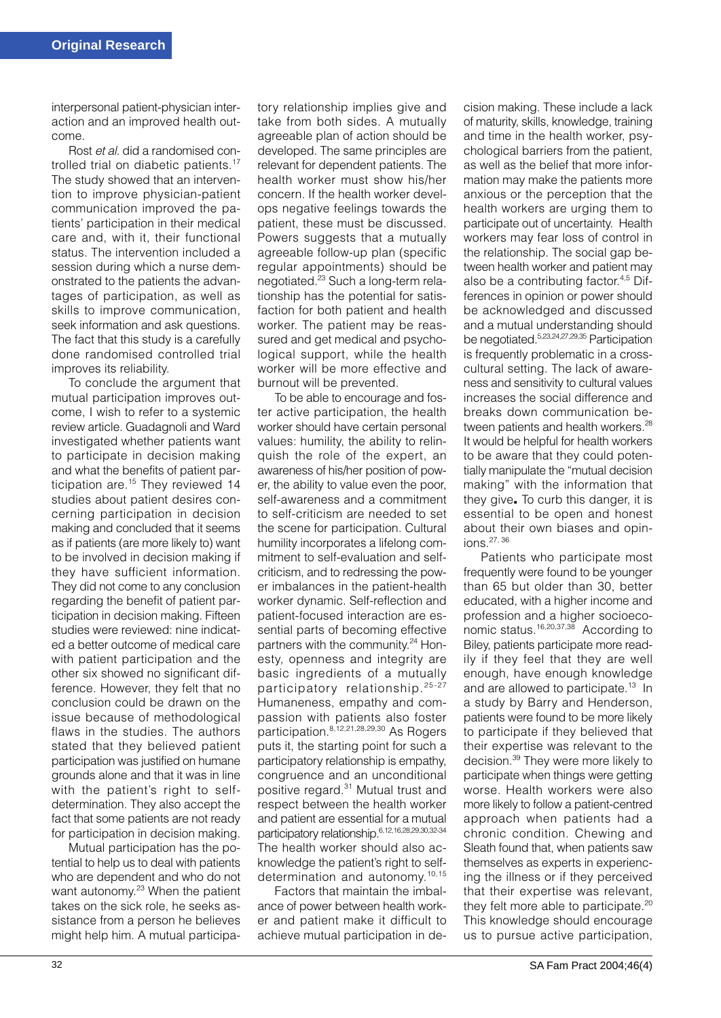interpersonal patient-physician interaction and an improved health outcome.

Rost *et al*. did a randomised controlled trial on diabetic patients.<sup>17</sup> The study showed that an intervention to improve physician-patient communication improved the patients' participation in their medical care and, with it, their functional status. The intervention included a session during which a nurse demonstrated to the patients the advantages of participation, as well as skills to improve communication, seek information and ask questions. The fact that this study is a carefully done randomised controlled trial improves its reliability.

To conclude the argument that mutual participation improves outcome, I wish to refer to a systemic review article. Guadagnoli and Ward investigated whether patients want to participate in decision making and what the benefits of patient participation are.<sup>15</sup> They reviewed 14 studies about patient desires concerning participation in decision making and concluded that it seems as if patients (are more likely to) want to be involved in decision making if they have sufficient information. They did not come to any conclusion regarding the benefit of patient participation in decision making. Fifteen studies were reviewed: nine indicated a better outcome of medical care with patient participation and the other six showed no significant difference. However, they felt that no conclusion could be drawn on the issue because of methodological flaws in the studies. The authors stated that they believed patient participation was justified on humane grounds alone and that it was in line with the patient's right to selfdetermination. They also accept the fact that some patients are not ready for participation in decision making.

Mutual participation has the potential to help us to deal with patients who are dependent and who do not want autonomy.<sup>23</sup> When the patient takes on the sick role, he seeks assistance from a person he believes might help him. A mutual participatory relationship implies give and take from both sides. A mutually agreeable plan of action should be developed. The same principles are relevant for dependent patients. The health worker must show his/her concern. If the health worker develops negative feelings towards the patient, these must be discussed. Powers suggests that a mutually agreeable follow-up plan (specific regular appointments) should be negotiated.23 Such a long-term relationship has the potential for satisfaction for both patient and health worker. The patient may be reassured and get medical and psychological support, while the health worker will be more effective and burnout will be prevented.

To be able to encourage and foster active participation, the health worker should have certain personal values: humility, the ability to relinquish the role of the expert, an awareness of his/her position of power, the ability to value even the poor, self-awareness and a commitment to self-criticism are needed to set the scene for participation. Cultural humility incorporates a lifelong commitment to self-evaluation and selfcriticism, and to redressing the power imbalances in the patient-health worker dynamic. Self-reflection and patient-focused interaction are essential parts of becoming effective partners with the community.<sup>24</sup> Honesty, openness and integrity are basic ingredients of a mutually participatory relationship.<sup>25-27</sup> Humaneness, empathy and compassion with patients also foster participation.8,12,21,28,29,30 As Rogers puts it, the starting point for such a participatory relationship is empathy, congruence and an unconditional positive regard.<sup>31</sup> Mutual trust and respect between the health worker and patient are essential for a mutual participatory relationship.6,12,16,28,29,30,32-34 The health worker should also acknowledge the patient's right to selfdetermination and autonomy.<sup>10,15</sup>

Factors that maintain the imbalance of power between health worker and patient make it difficult to achieve mutual participation in de-

cision making. These include a lack of maturity, skills, knowledge, training and time in the health worker, psychological barriers from the patient, as well as the belief that more information may make the patients more anxious or the perception that the health workers are urging them to participate out of uncertainty. Health workers may fear loss of control in the relationship. The social gap between health worker and patient may also be a contributing factor.4,5 Differences in opinion or power should be acknowledged and discussed and a mutual understanding should be negotiated.<sup>5,23,24,27,29,35</sup> Participation is frequently problematic in a crosscultural setting. The lack of awareness and sensitivity to cultural values increases the social difference and breaks down communication between patients and health workers.<sup>28</sup> It would be helpful for health workers to be aware that they could potentially manipulate the "mutual decision making" with the information that they give. To curb this danger, it is essential to be open and honest about their own biases and opinions.27, 36

Patients who participate most frequently were found to be younger than 65 but older than 30, better educated, with a higher income and profession and a higher socioeconomic status.<sup>16,20,37,38</sup> According to Biley, patients participate more readily if they feel that they are well enough, have enough knowledge and are allowed to participate.<sup>13</sup> In a study by Barry and Henderson, patients were found to be more likely to participate if they believed that their expertise was relevant to the decision.<sup>39</sup> They were more likely to participate when things were getting worse. Health workers were also more likely to follow a patient-centred approach when patients had a chronic condition. Chewing and Sleath found that, when patients saw themselves as experts in experiencing the illness or if they perceived that their expertise was relevant, they felt more able to participate.<sup>20</sup> This knowledge should encourage us to pursue active participation,